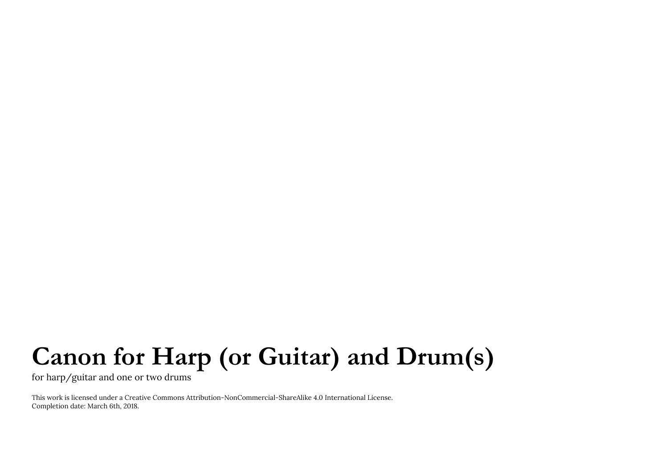## **Canon for Harp (or Guitar) and Drum(s)**

for harp/guitar and one or two drums

This work is licensed under a Creative Commons Attribution-NonCommercial-ShareAlike 4.0 International License. Completion date: March 6th, 2018.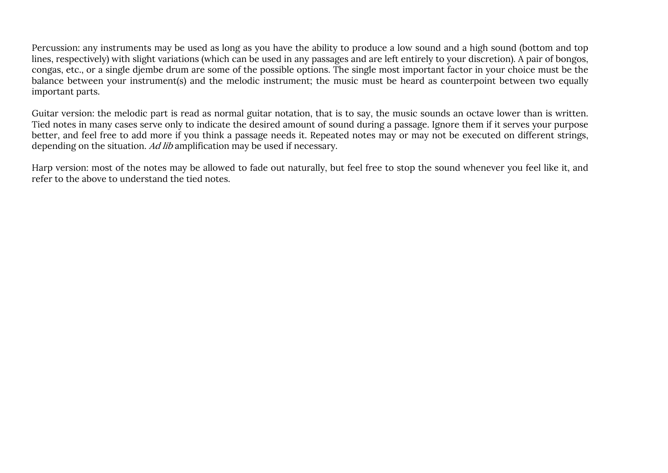Percussion: any instruments may be used as long as you have the ability to produce a low sound and a high sound (bottom and top lines, respectively) with slight variations (which can be used in any passages and are left entirely to your discretion). A pair of bongos, congas, etc., or a single djembe drum are some of the possible options. The single most important factor in your choice must be the balance between your instrument(s) and the melodic instrument; the music must be heard as counterpoint between two equally important parts.

Guitar version: the melodic part is read as normal guitar notation, that is to say, the music sounds an octave lower than is written. Tied notes in many cases serve only to indicate the desired amount of sound during a passage. Ignore them if it serves your purpose better, and feel free to add more if you think a passage needs it. Repeated notes may or may not be executed on different strings, depending on the situation. Ad lib amplification may be used if necessary.

Harp version: most of the notes may be allowed to fade out naturally, but feel free to stop the sound whenever you feel like it, and refer to the above to understand the tied notes.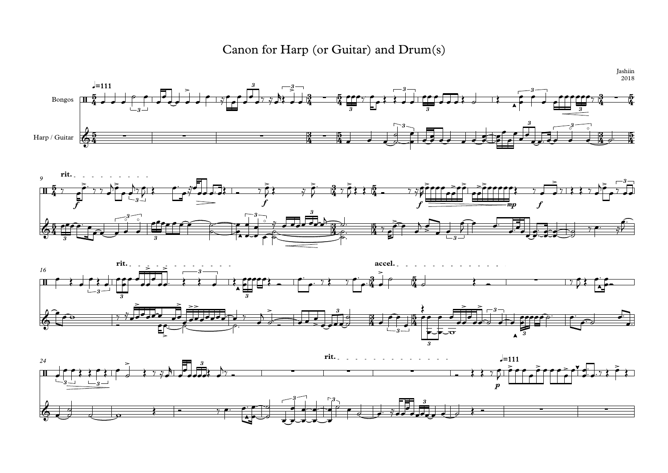





Canon for Harp (or Guitar) and Drum(s)



Jashiin